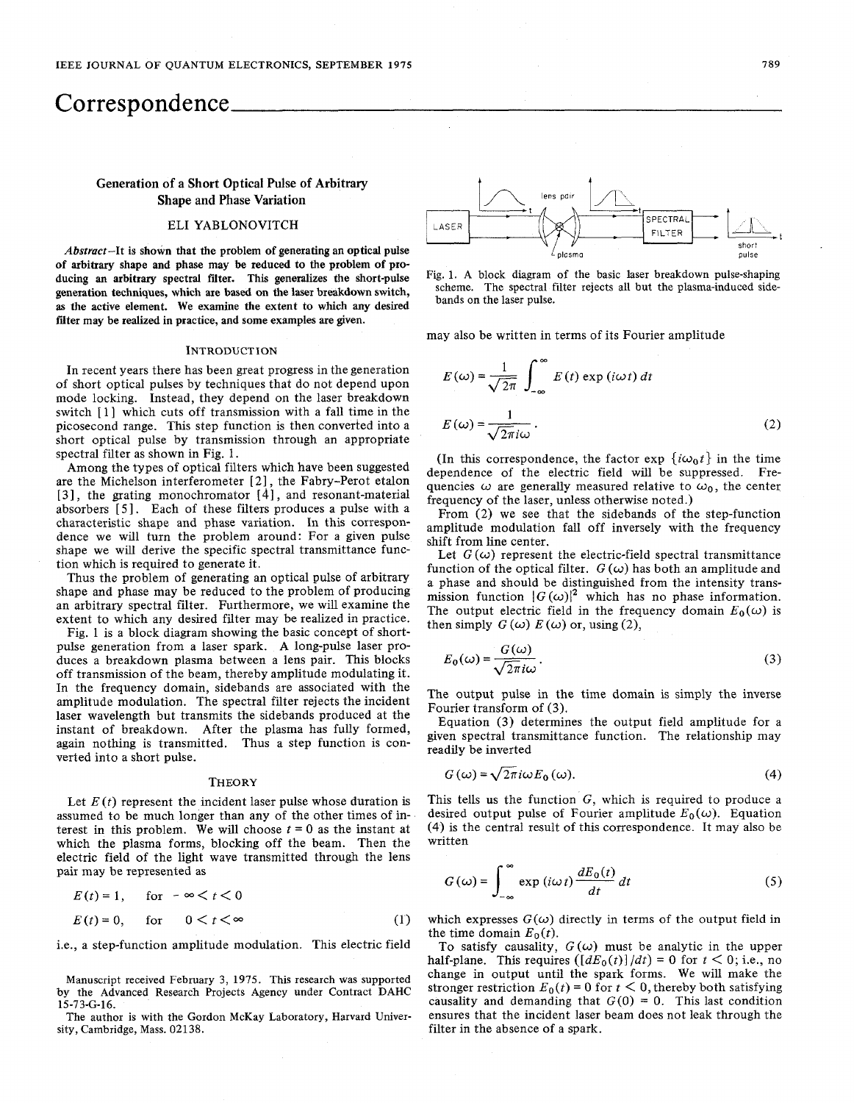# Correspondence

# Generation **of** a Short Optical **Pulse of** Arbitrary Shape and Phase Variation

## ELI YABLONOVITCH

Abstract-It is shown that the problem **of** generating an optical pulse **of** arbitrary shape and phase may be reduced to the problem **of** producing **an** arbitrary spectral fiter. This generalizes the short-pulse generation techniques, which are based on the laser breakdown switch, **as** the active element. We examine the extent to which any desired filter may be realized in practice, and some examples are given.

### **INTRODUCTION**

In recent years there has been great progress in the generation of short optical pulses by techniques that do not depend upon mode locking. Instead, they depend on the laser breakdown switch [1] which cuts off transmission with a fall time in the picosecond range. This step function is then converted into a short optical pulse by transmission through an appropriate spectral filter as shown in Fig. 1.

Among the types of optical filters which have been suggested are the Michelson interferometer [ **21,** the Fabry-Perot etalon [3], the grating monochromator [4], and resonant-material absorbers [ **51.** Each of these filters produces a pulse with a characteristic shape and phase variation. In this correspondence we will turn the problem around: For a given pulse shape we will derive the specific spectral transmittance function which is required to generate it.

Thus the problem of generating an optical pulse of arbitrary shape and phase may be reduced to the problem of producing an arbitrary spectral filter. Furthermore, we will examine the extent to which any desired filter may be realized in practice.

Fig. 1 is a block diagram showing the basic concept of shortpulse generation from a laser spark. A long-pulse laser produces a breakdown plasma between a lens pair. This blocks off transmission of the beam, thereby amplitude modulating it. In the frequency domain, sidebands are associated with the amplitude modulation. The spectral filter rejects the incident laser wavelength but transmits the sidebands produced at the instant of breakdown. After the plasma has fully formed, again nothing is transmitted. Thus a step function is converted into a short pulse.

#### **THEORY**

Let  $E(t)$  represent the incident laser pulse whose duration is assumed to be much longer than any of the other times of interest in this problem. We will choose  $t = 0$  as the instant at which the plasma forms, blocking off the beam. Then the electric field of the light wave transmitted through the lens pair may be represented as

$$
E(t) = 1, \quad \text{for } -\infty < t < 0
$$
  

$$
E(t) = 0, \quad \text{for } \quad 0 < t < \infty
$$
 (1)

i.e., a step-function amplitude modulation. This electric field

Manuscript received February **3, 1975.** This research was supported by the Advanced Research Projects Agency under Contract DAHC **15-73-G-16.** 

The author is with the Gordon McKay Laboratory, Harvard University, Cambridge, Mass. **02138.** 





may also be written in terms of its Fourier amplitude  
\n
$$
E(\omega) = \frac{1}{\sqrt{2\pi}} \int_{-\infty}^{\infty} E(t) \exp(i\omega t) dt
$$
\n
$$
E(\omega) = \frac{1}{\sqrt{2\pi} i\omega}.
$$
\n(2)

(In this correspondence, the factor  $\exp\{\mathrm{i}\omega_0 t\}$  in the time dependence of the electric field will be suppressed. Frequencies  $\omega$  are generally measured relative to  $\omega_0$ , the center frequency of the laser, unless otherwise noted.)

From **(2)** we see that the sidebands of the step-function amplitude modulation fall off inversely with the frequency shift from line center.

Let  $G(\omega)$  represent the electric-field spectral transmittance function of the optical filter.  $G(\omega)$  has both an amplitude and a phase and should be distinguished from the intensity transmission function  $|G(\omega)|^2$  which has no phase information. The output electric field in the frequency domain  $E_0(\omega)$  is then simply  $G(\omega) E(\omega)$  or, using (2),

$$
E_0(\omega) = \frac{G(\omega)}{\sqrt{2\pi}i\omega}.
$$
 (3)

The output pulse in the time domain is simply the inverse Fourier transform of **(3).** 

Equation **(3)** determines the output field amplitude for a given spectral transmittance function. The relationship may readily be inverted

$$
G(\omega) = \sqrt{2\pi} i\omega E_0(\omega). \tag{4}
$$

This tells **us** the function G, which is required to produce a desired output pulse of Fourier amplitude  $E_0(\omega)$ . Equation (4) is the central result of this correspondence. It may also be written

$$
G(\omega) = \int_{-\infty}^{\infty} \exp(i\omega t) \frac{dE_0(t)}{dt} dt
$$
 (5)

which expresses  $G(\omega)$  directly in terms of the output field in the time domain  $E_0(t)$ .

To satisfy causality,  $G(\omega)$  must be analytic in the upper half-plane. This requires  $\left(\frac{dE_0(t)}{dt}\right) = 0$  for  $t < 0$ ; i.e., no change in output until the spark forms. We will make the stronger restriction  $E_0(t) = 0$  for  $t < 0$ , thereby both satisfying causality and demanding that  $G(0) = 0$ . This last condition ensures that the incident laser beam does not leak through the filter in the absence of a spark,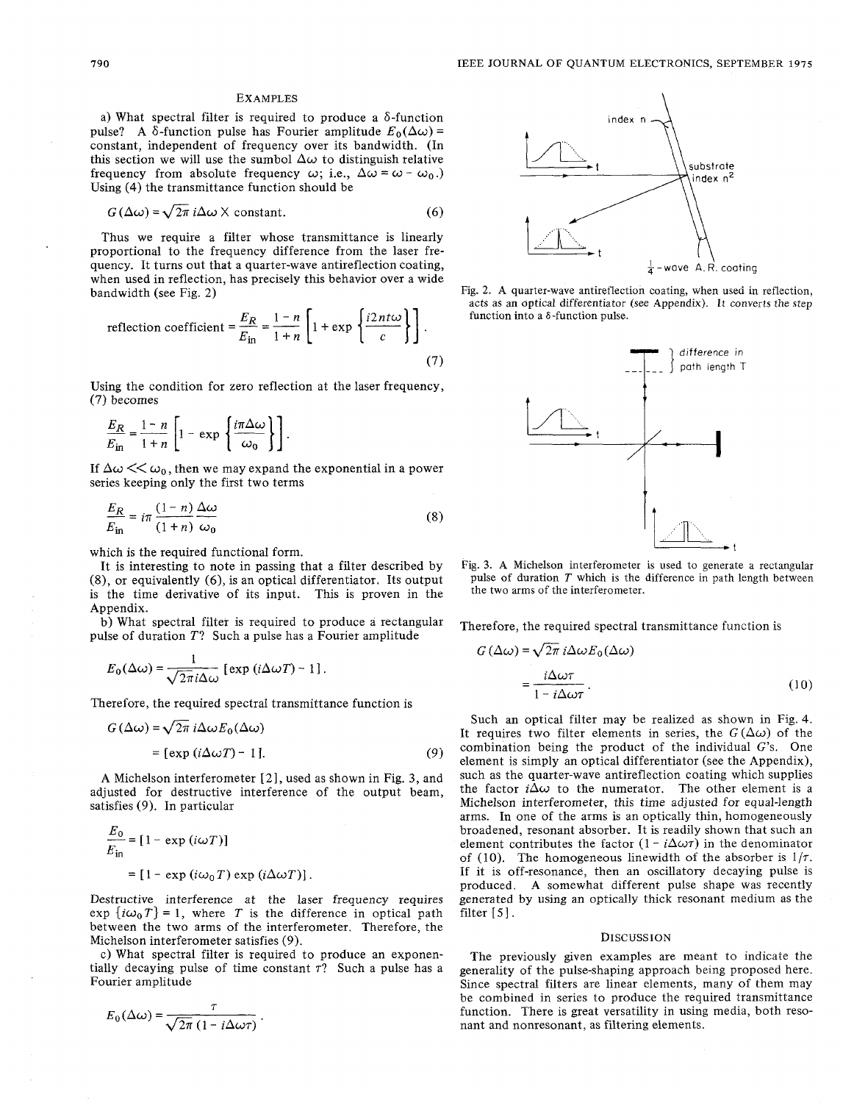#### **EXAMPLES**

a) What spectral filter is required to produce a  $\delta$ -function pulse? A  $\delta$ -function pulse has Fourier amplitude  $E_0(\Delta \omega)$  = constant, independent of frequency over its bandwidth. (In this section we will use the sumbol  $\Delta\omega$  to distinguish relative frequency from absolute frequency  $\omega$ ; i.e.,  $\Delta \omega = \omega - \omega_0$ .) Using (4) the transmittance function should be<br>  $G(\Delta \omega) = \sqrt{2\pi} i\Delta \omega \times \text{constant.}$  (6)

$$
G\left(\Delta\omega\right) = \sqrt{2\pi} \, i\Delta\omega \times \text{constant.}\tag{6}
$$

Thus we require a filter whose transmittance is linearly proportional to the frequency difference from the laser frequency. It turns out that a quarter-wave antireflection coating,<br>when used in reflection, has precisely this behavior over a wide<br>bandwidth (see Fig. 2)<br>reflection coefficient  $= \frac{E_R}{E_{\text{in}}} = \frac{1-n}{1+n} \left[1 + \exp\left\{\frac{i2nt\omega}{c}\$ when used in reflection, has precisely this behavior over a wide bandwidth (see Fig. *2)*  lose transmittance is linearly<br>difference from the laser fre-<br>er-wave antireflection coating,<br>isely this behavior over a wide<br> $\frac{1-n}{1+n} \left[1 + \exp\left\{\frac{i2nt\omega}{c}\right\}\right]$ .

reflection coefficient 
$$
=
$$
  $\frac{E_R}{E_{\text{in}}} = \frac{1-n}{1+n} \left[ 1 + \exp \left\{ \frac{i2nt\omega}{c} \right\} \right]$ . (7)

Using the condition for zero reflection at the laser frequency, (7) becomes

ing the condition for zero reflectic  
becomes  

$$
\frac{E_R}{E_{\text{in}}} = \frac{1-n}{1+n} \left[ 1 - \exp \left\{ \frac{i\pi \Delta \omega}{\omega_0} \right\} \right].
$$

series keeping only the first two terms

If 
$$
\Delta \omega \ll \omega_0
$$
, then we may expand the exponential in a power  
series keeping only the first two terms  

$$
\frac{E_R}{E_{\text{in}}} = i\pi \frac{(1-n)\Delta \omega}{(1+n)\omega_0}
$$
(8)

which is the required functional form.

It is interesting to note in passing that a filter described by (8), or equivalently (6), is an optical differentiator. Its output is the time derivative of its input. This is proven in the Appendix.

b) What spectral filter is required to produce a rectangular

pulse of duration *T*? Such a pulse has a Fourier amplitude  

$$
E_0(\Delta \omega) = \frac{1}{\sqrt{2\pi} i \Delta \omega} [\exp (i\Delta \omega T) - 1].
$$

Therefore, the required spectral transmittance function is  
\n
$$
G(\Delta \omega) = \sqrt{2\pi} i \Delta \omega E_0(\Delta \omega)
$$
\n
$$
= [\exp (i\Delta \omega T) - 1]. \tag{9}
$$

A Michelson interferometer [ 2 1, used as shown in Fig. **3,** and adjusted for destructive interference of the output beam, satisfies (9). In particular

$$
\frac{E_0}{E_{\text{in}}} = [1 - \exp(i\omega T)]
$$
  
= [1 - \exp(i\omega\_0 T) \exp(i\Delta\omega T)].

Destructive interference at the laser frequency requires  $\exp\left\{i\omega_0 T\right\} = 1$ , where *T* is the difference in optical path between the two arms of the interferometer. Therefore, the Michelson interferometer satisfies (9).

c) What spectral filter is required to produce an exponentially decaying pulse of time constant *r?* Such a pulse has a Fourier amplitude

$$
E_0(\Delta \omega) = \frac{\tau}{\sqrt{2\pi} (1 - i \Delta \omega \tau)}.
$$



Fig. 2. **A** quarter-wave antireflection coating, when used in reflection, acts as an optical differentiator *(see* Appendix). *It* converts the step function into a 6-function pulse.



Fig. 3. **A** Michelson interferometer is used to generate a rectangular pulse of duration *T* which is the difference in path length between the two arms of the interferometer.

Therefore, the required spectral transmittance function is

$$
a = \frac{1}{\omega} \text{ or } a = \sqrt{2\pi} \text{ if } a = \sqrt{2\pi} \text{ if } a = \sqrt{2\pi} \text{ if } a = \sqrt{2\pi} \text{ if } a = \sqrt{2\pi} \text{ if } a = \sqrt{2\pi} \text{ if } a = \sqrt{2\pi} \text{ if } a = \sqrt{2\pi} \text{ if } a = \sqrt{2\pi} \text{ if } a = \sqrt{2\pi} \text{ if } a = \sqrt{2\pi} \text{ if } a = \sqrt{2\pi} \text{ if } a = \sqrt{2\pi} \text{ if } a = \sqrt{2\pi} \text{ if } a = \sqrt{2\pi} \text{ if } a = \sqrt{2\pi} \text{ if } a = \sqrt{2\pi} \text{ if } a = \sqrt{2\pi} \text{ if } a = \sqrt{2\pi} \text{ if } a = \sqrt{2\pi} \text{ if } a = \sqrt{2\pi} \text{ if } a = \sqrt{2\pi} \text{ if } a = \sqrt{2\pi} \text{ if } a = \sqrt{2\pi} \text{ if } a = \sqrt{2\pi} \text{ if } a = \sqrt{2\pi} \text{ if } a = \sqrt{2\pi} \text{ if } a = \sqrt{2\pi} \text{ if } a = \sqrt{2\pi} \text{ if } a = \sqrt{2\pi} \text{ if } a = \sqrt{2\pi} \text{ if } a = \sqrt{2\pi} \text{ if } a = \sqrt{2\pi} \text{ if } a = \sqrt{2\pi} \text{ if } a = \sqrt{2\pi} \text{ if } a = \sqrt{2\pi} \text{ if } a = \sqrt{2\pi} \text{ if } a = \sqrt{2\pi} \text{ if } a = \sqrt{2\pi} \text{ if } a = \sqrt{2\pi} \text{ if } a = \sqrt{2\pi} \text{ if } a = \sqrt{2\pi} \text{ if } a = \sqrt{2\pi} \text{ if } a = \sqrt{2\pi} \text{ if } a = \sqrt{2\pi} \text{ if } a = \sqrt{2\pi} \text{ if } a = \sqrt{2\pi} \text{ if } a = \sqrt{2\pi} \text{ if } a = \sqrt{2\pi} \text{ if } a = \sqrt{2\pi} \text{ if } a = \sqrt{2\pi} \text{ if } a = \sqrt{2\pi} \text{ if } a = \sqrt{2\pi} \text{ if }
$$

Such an optical filter may be realized as shown in Fig. 4. It requires two filter elements in series, the  $G(\Delta\omega)$  of the combination being the product of the individual G's. One element is simply an optical differentiator (see the Appendix), such as the quarter-wave antireflection coating which supplies the factor  $i\Delta\omega$  to the numerator. The other element is a Michelson interferometer, this time adjusted for equal-length arms. In one of the arms is an optically thin, homogeneously broadened, resonant absorber. It is readily shown that such an element contributes the factor  $(1 - i\Delta\omega\tau)$  in the denominator of (10). The homogeneous linewidth of the absorber is  $1/\tau$ . If it is off-resonance, then an oscillatory decaying pulse is produced. A somewhat different pulse shape was recently generated by using an optically thick resonant medium as the filter [ *5* ] .

#### DISCUSSION

The previously given examples are meant to indicate the generality of the pulse-shaping approach being proposed here. Since spectral filters are linear elements, many of them may be combined in series to produce the required transmittance function. There is great versatility in using media, both resonant and nonresonant, as filtering elements.